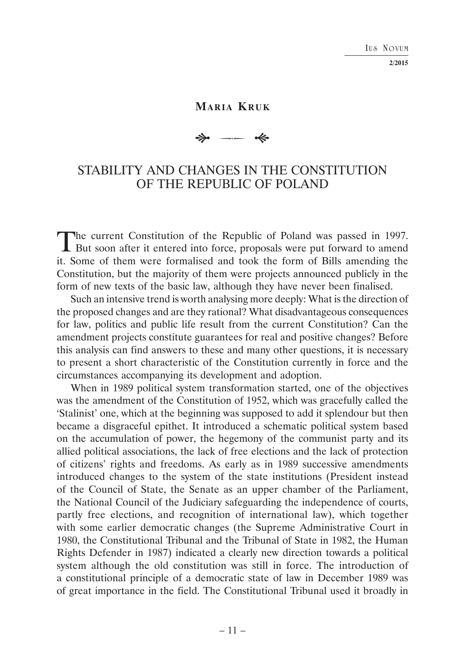## **MARIA KRUK**

# $\Rightarrow$  $\longrightarrow$

# STABILITY AND CHANGES IN THE CONSTITUTION OF THE REPUBLIC OF POLAND

The current Constitution of the Republic of Poland was passed in 1997. **I** But soon after it entered into force, proposals were put forward to amend it. Some of them were formalised and took the form of Bills amending the Constitution, but the majority of them were projects announced publicly in the form of new texts of the basic law, although they have never been finalised.

Such an intensive trend is worth analysing more deeply: What is the direction of the proposed changes and are they rational? What disadvantageous consequences for law, politics and public life result from the current Constitution? Can the amendment projects constitute guarantees for real and positive changes? Before this analysis can find answers to these and many other questions, it is necessary to present a short characteristic of the Constitution currently in force and the circumstances accompanying its development and adoption.

When in 1989 political system transformation started, one of the objectives was the amendment of the Constitution of 1952, which was gracefully called the 'Stalinist' one, which at the beginning was supposed to add it splendour but then became a disgraceful epithet. It introduced a schematic political system based on the accumulation of power, the hegemony of the communist party and its allied political associations, the lack of free elections and the lack of protection of citizens' rights and freedoms. As early as in 1989 successive amendments introduced changes to the system of the state institutions (President instead of the Council of State, the Senate as an upper chamber of the Parliament, the National Council of the Judiciary safeguarding the independence of courts, partly free elections, and recognition of international law), which together with some earlier democratic changes (the Supreme Administrative Court in 1980, the Constitutional Tribunal and the Tribunal of State in 1982, the Human Rights Defender in 1987) indicated a clearly new direction towards a political system although the old constitution was still in force. The introduction of a constitutional principle of a democratic state of law in December 1989 was of great importance in the field. The Constitutional Tribunal used it broadly in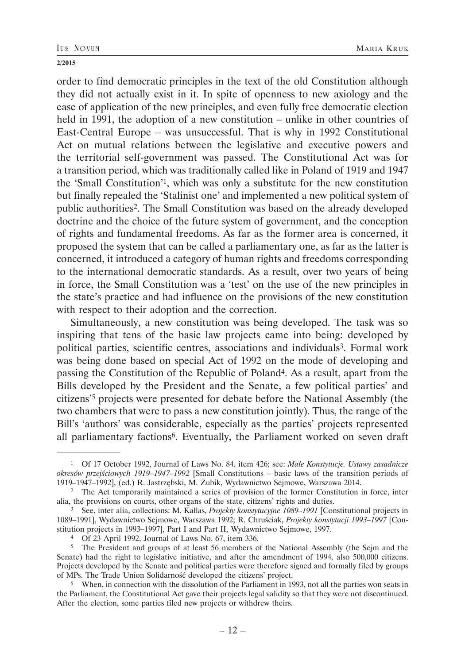order to find democratic principles in the text of the old Constitution although they did not actually exist in it. In spite of openness to new axiology and the ease of application of the new principles, and even fully free democratic election held in 1991, the adoption of a new constitution – unlike in other countries of East-Central Europe – was unsuccessful. That is why in 1992 Constitutional Act on mutual relations between the legislative and executive powers and the territorial self-government was passed. The Constitutional Act was for a transition period, which was traditionally called like in Poland of 1919 and 1947 the 'Small Constitution'1, which was only a substitute for the new constitution but finally repealed the 'Stalinist one' and implemented a new political system of public authorities2. The Small Constitution was based on the already developed doctrine and the choice of the future system of government, and the conception of rights and fundamental freedoms. As far as the former area is concerned, it proposed the system that can be called a parliamentary one, as far as the latter is concerned, it introduced a category of human rights and freedoms corresponding to the international democratic standards. As a result, over two years of being in force, the Small Constitution was a 'test' on the use of the new principles in the state's practice and had influence on the provisions of the new constitution with respect to their adoption and the correction.

Simultaneously, a new constitution was being developed. The task was so inspiring that tens of the basic law projects came into being: developed by political parties, scientific centres, associations and individuals3. Formal work was being done based on special Act of 1992 on the mode of developing and passing the Constitution of the Republic of Poland4. As a result, apart from the Bills developed by the President and the Senate, a few political parties' and citizens'5 projects were presented for debate before the National Assembly (the two chambers that were to pass a new constitution jointly). Thus, the range of the Bill's 'authors' was considerable, especially as the parties' projects represented all parliamentary factions6. Eventually, the Parliament worked on seven draft

<sup>1</sup> Of 17 October 1992, Journal of Laws No. 84, item 426; see: *Małe Konstytucje. Ustawy zasadnicze okresów przejściowych 1919–1947–1992* [Small Constitutions – basic laws of the transition periods of 1919–1947–1992], (ed.) R. Jastrzębski, M. Zubik, Wydawnictwo Sejmowe, Warszawa 2014.

<sup>2</sup> The Act temporarily maintained a series of provision of the former Constitution in force, inter alia, the provisions on courts, other organs of the state, citizens' rights and duties.

<sup>3</sup> See, inter alia, collections: M. Kallas, *Projekty konstytucyjne 1089–1991* [Constitutional projects in 1089–1991], Wydawnictwo Sejmowe, Warszawa 1992; R. Chruściak, *Projekty konstytucji 1993–1997* [Constitution projects in 1993–1997], Part I and Part II, Wydawnictwo Sejmowe, 1997.

<sup>4</sup> Of 23 April 1992, Journal of Laws No. 67, item 336.

<sup>5</sup> The President and groups of at least 56 members of the National Assembly (the Sejm and the Senate) had the right to legislative initiative, and after the amendment of 1994, also 500,000 citizens. Projects developed by the Senate and political parties were therefore signed and formally filed by groups of MPs. The Trade Union Solidarność developed the citizens' project. 6 When, in connection with the dissolution of the Parliament in 1993, not all the parties won seats in

the Parliament, the Constitutional Act gave their projects legal validity so that they were not discontinued. After the election, some parties filed new projects or withdrew theirs.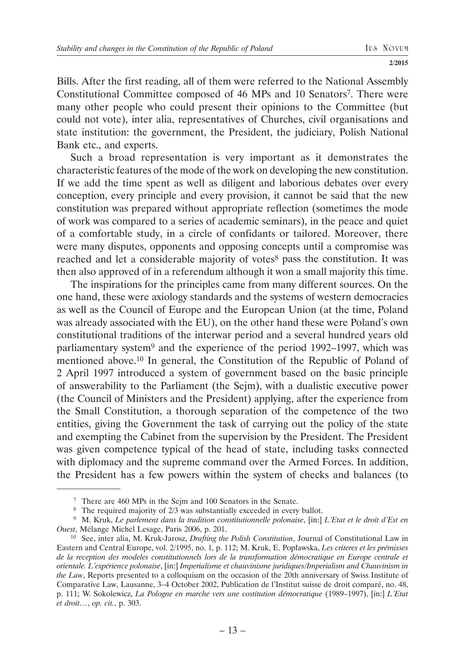Bills. After the first reading, all of them were referred to the National Assembly Constitutional Committee composed of 46 MPs and 10 Senators7. There were many other people who could present their opinions to the Committee (but could not vote), inter alia, representatives of Churches, civil organisations and state institution: the government, the President, the judiciary, Polish National Bank etc., and experts.

Such a broad representation is very important as it demonstrates the characteristic features of the mode of the work on developing the new constitution. If we add the time spent as well as diligent and laborious debates over every conception, every principle and every provision, it cannot be said that the new constitution was prepared without appropriate reflection (sometimes the mode of work was compared to a series of academic seminars), in the peace and quiet of a comfortable study, in a circle of confidants or tailored. Moreover, there were many disputes, opponents and opposing concepts until a compromise was reached and let a considerable majority of votes<sup>8</sup> pass the constitution. It was then also approved of in a referendum although it won a small majority this time.

The inspirations for the principles came from many different sources. On the one hand, these were axiology standards and the systems of western democracies as well as the Council of Europe and the European Union (at the time, Poland was already associated with the EU), on the other hand these were Poland's own constitutional traditions of the interwar period and a several hundred years old parliamentary system9 and the experience of the period 1992–1997, which was mentioned above.10 In general, the Constitution of the Republic of Poland of 2 April 1997 introduced a system of government based on the basic principle of answerability to the Parliament (the Sejm), with a dualistic executive power (the Council of Ministers and the President) applying, after the experience from the Small Constitution, a thorough separation of the competence of the two entities, giving the Government the task of carrying out the policy of the state and exempting the Cabinet from the supervision by the President. The President was given competence typical of the head of state, including tasks connected with diplomacy and the supreme command over the Armed Forces. In addition, the President has a few powers within the system of checks and balances (to

 <sup>7</sup> There are 460 MPs in the Sejm and 100 Senators in the Senate.

<sup>&</sup>lt;sup>8</sup> The required majority of 2/3 was substantially exceeded in every ballot.

 <sup>9</sup> M. Kruk, *Le parlement dans la tradition constitutionnelle polonaise*, [in:] *L'Etat et le droit d'Est en Ouest*, Mélange Michel Lesage, Paris 2006, p. 201.

<sup>10</sup> See, inter alia, M. Kruk-Jarosz, *Drafting the Polish Constitution*, Journal of Constitutional Law in Eastern and Central Europe, vol. 2/1995, no. 1, p. 112; M. Kruk, E. Popławska, *Les criteres et les prémisses de la reception des modeles constitutionnels lors de la transformation démocratique en Europe centrale et orientale. L'expérience polonaise*, [in:] *Imperialisme et chauvinisme juridiques/Imperialism and Chauvinism in the Law*, Reports presented to a colloquium on the occasion of the 20th anniversary of Swiss Institute of Comparative Law, Lausanne, 3–4 October 2002, Publication de l'Institut suisse de droit comparé, no. 48, p. 111; W. Sokolewicz, *La Pologne en marche vers une costitution démocratique* (1989–1997), [in:] *L'Etat et droit…*, *op. cit.*, p. 303.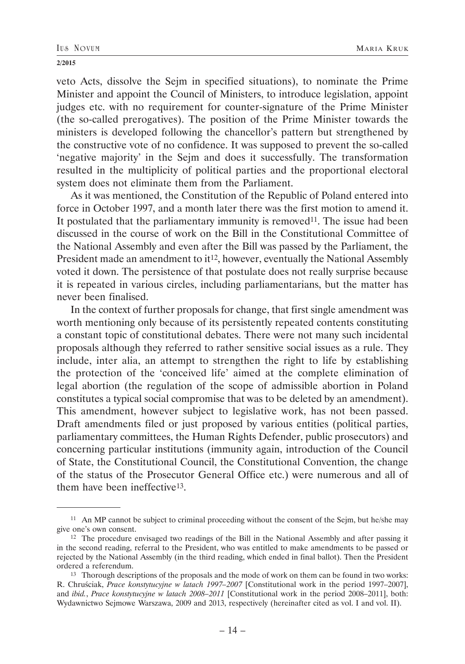veto Acts, dissolve the Sejm in specified situations), to nominate the Prime Minister and appoint the Council of Ministers, to introduce legislation, appoint judges etc. with no requirement for counter-signature of the Prime Minister (the so-called prerogatives). The position of the Prime Minister towards the ministers is developed following the chancellor's pattern but strengthened by the constructive vote of no confidence. It was supposed to prevent the so-called 'negative majority' in the Sejm and does it successfully. The transformation resulted in the multiplicity of political parties and the proportional electoral system does not eliminate them from the Parliament.

As it was mentioned, the Constitution of the Republic of Poland entered into force in October 1997, and a month later there was the first motion to amend it. It postulated that the parliamentary immunity is removed<sup>11</sup>. The issue had been discussed in the course of work on the Bill in the Constitutional Committee of the National Assembly and even after the Bill was passed by the Parliament, the President made an amendment to it<sup>12</sup>, however, eventually the National Assembly voted it down. The persistence of that postulate does not really surprise because it is repeated in various circles, including parliamentarians, but the matter has never been finalised.

In the context of further proposals for change, that first single amendment was worth mentioning only because of its persistently repeated contents constituting a constant topic of constitutional debates. There were not many such incidental proposals although they referred to rather sensitive social issues as a rule. They include, inter alia, an attempt to strengthen the right to life by establishing the protection of the 'conceived life' aimed at the complete elimination of legal abortion (the regulation of the scope of admissible abortion in Poland constitutes a typical social compromise that was to be deleted by an amendment). This amendment, however subject to legislative work, has not been passed. Draft amendments filed or just proposed by various entities (political parties, parliamentary committees, the Human Rights Defender, public prosecutors) and concerning particular institutions (immunity again, introduction of the Council of State, the Constitutional Council, the Constitutional Convention, the change of the status of the Prosecutor General Office etc.) were numerous and all of them have been ineffective13.

<sup>&</sup>lt;sup>11</sup> An MP cannot be subject to criminal proceeding without the consent of the Sejm, but he/she may give one's own consent.<br><sup>12</sup> The procedure envisaged two readings of the Bill in the National Assembly and after passing it

in the second reading, referral to the President, who was entitled to make amendments to be passed or rejected by the National Assembly (in the third reading, which ended in final ballot). Then the President ordered a referendum. 13 Thorough descriptions of the proposals and the mode of work on them can be found in two works:

R. Chruściak, *Prace konstytucyjne w latach 1997–2007* [Constitutional work in the period 1997–2007], and *ibid.*, *Prace konstytucyjne w latach 2008–2011* [Constitutional work in the period 2008–2011], both: Wydawnictwo Sejmowe Warszawa, 2009 and 2013, respectively (hereinafter cited as vol. I and vol. II).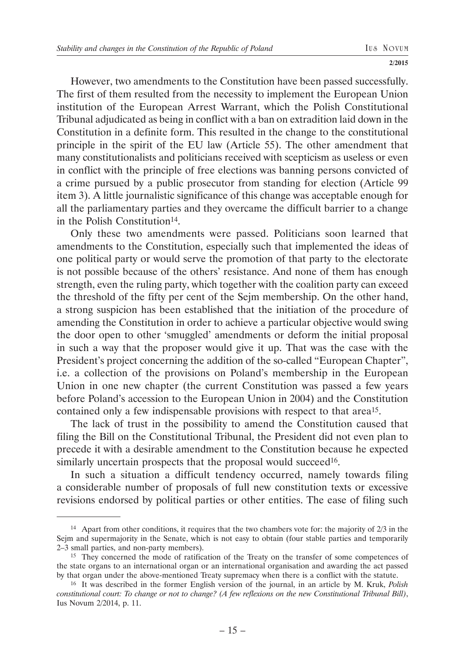However, two amendments to the Constitution have been passed successfully. The first of them resulted from the necessity to implement the European Union institution of the European Arrest Warrant, which the Polish Constitutional Tribunal adjudicated as being in conflict with a ban on extradition laid down in the Constitution in a definite form. This resulted in the change to the constitutional principle in the spirit of the EU law (Article 55). The other amendment that many constitutionalists and politicians received with scepticism as useless or even in conflict with the principle of free elections was banning persons convicted of a crime pursued by a public prosecutor from standing for election (Article 99 item 3). A little journalistic significance of this change was acceptable enough for all the parliamentary parties and they overcame the difficult barrier to a change in the Polish Constitution<sup>14</sup>.

Only these two amendments were passed. Politicians soon learned that amendments to the Constitution, especially such that implemented the ideas of one political party or would serve the promotion of that party to the electorate is not possible because of the others' resistance. And none of them has enough strength, even the ruling party, which together with the coalition party can exceed the threshold of the fifty per cent of the Sejm membership. On the other hand, a strong suspicion has been established that the initiation of the procedure of amending the Constitution in order to achieve a particular objective would swing the door open to other 'smuggled' amendments or deform the initial proposal in such a way that the proposer would give it up. That was the case with the President's project concerning the addition of the so-called "European Chapter", i.e. a collection of the provisions on Poland's membership in the European Union in one new chapter (the current Constitution was passed a few years before Poland's accession to the European Union in 2004) and the Constitution contained only a few indispensable provisions with respect to that area15.

The lack of trust in the possibility to amend the Constitution caused that filing the Bill on the Constitutional Tribunal, the President did not even plan to precede it with a desirable amendment to the Constitution because he expected similarly uncertain prospects that the proposal would succeed<sup>16</sup>.

In such a situation a difficult tendency occurred, namely towards filing a considerable number of proposals of full new constitution texts or excessive revisions endorsed by political parties or other entities. The ease of filing such

<sup>14</sup> Apart from other conditions, it requires that the two chambers vote for: the majority of 2/3 in the Sejm and supermajority in the Senate, which is not easy to obtain (four stable parties and temporarily 2–3 small parties, and non-party members).

<sup>&</sup>lt;sup>15</sup> They concerned the mode of ratification of the Treaty on the transfer of some competences of the state organs to an international organ or an international organisation and awarding the act passed by that organ under the above-mentioned Treaty supremacy when there is a conflict with the statute.

<sup>&</sup>lt;sup>16</sup> It was described in the former English version of the journal, in an article by M. Kruk, *Polish constitutional court: To change or not to change? (A few reflexions on the new Constitutional Tribunal Bill)*, Ius Novum 2/2014, p. 11.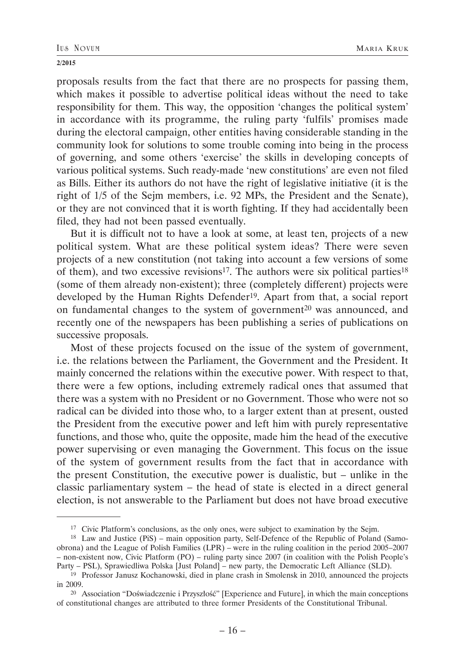proposals results from the fact that there are no prospects for passing them, which makes it possible to advertise political ideas without the need to take responsibility for them. This way, the opposition 'changes the political system' in accordance with its programme, the ruling party 'fulfils' promises made during the electoral campaign, other entities having considerable standing in the community look for solutions to some trouble coming into being in the process of governing, and some others 'exercise' the skills in developing concepts of various political systems. Such ready-made 'new constitutions' are even not filed as Bills. Either its authors do not have the right of legislative initiative (it is the right of 1/5 of the Sejm members, i.e. 92 MPs, the President and the Senate), or they are not convinced that it is worth fighting. If they had accidentally been filed, they had not been passed eventually.

But it is difficult not to have a look at some, at least ten, projects of a new political system. What are these political system ideas? There were seven projects of a new constitution (not taking into account a few versions of some of them), and two excessive revisions<sup>17</sup>. The authors were six political parties<sup>18</sup> (some of them already non-existent); three (completely different) projects were developed by the Human Rights Defender<sup>19</sup>. Apart from that, a social report on fundamental changes to the system of government<sup>20</sup> was announced, and recently one of the newspapers has been publishing a series of publications on successive proposals.

Most of these projects focused on the issue of the system of government, i.e. the relations between the Parliament, the Government and the President. It mainly concerned the relations within the executive power. With respect to that, there were a few options, including extremely radical ones that assumed that there was a system with no President or no Government. Those who were not so radical can be divided into those who, to a larger extent than at present, ousted the President from the executive power and left him with purely representative functions, and those who, quite the opposite, made him the head of the executive power supervising or even managing the Government. This focus on the issue of the system of government results from the fact that in accordance with the present Constitution, the executive power is dualistic, but – unlike in the classic parliamentary system – the head of state is elected in a direct general election, is not answerable to the Parliament but does not have broad executive

<sup>&</sup>lt;sup>17</sup> Civic Platform's conclusions, as the only ones, were subject to examination by the Sejm.

<sup>&</sup>lt;sup>18</sup> Law and Justice (PiS) – main opposition party, Self-Defence of the Republic of Poland (Samoobrona) and the League of Polish Families (LPR) – were in the ruling coalition in the period 2005–2007 – non-existent now, Civic Platform (PO) – ruling party since 2007 (in coalition with the Polish People's

<sup>&</sup>lt;sup>19</sup> Professor Janusz Kochanowski, died in plane crash in Smolensk in 2010, announced the projects in 2009.

<sup>20</sup> Association "Doświadczenie i Przyszłość" [Experience and Future], in which the main conceptions of constitutional changes are attributed to three former Presidents of the Constitutional Tribunal.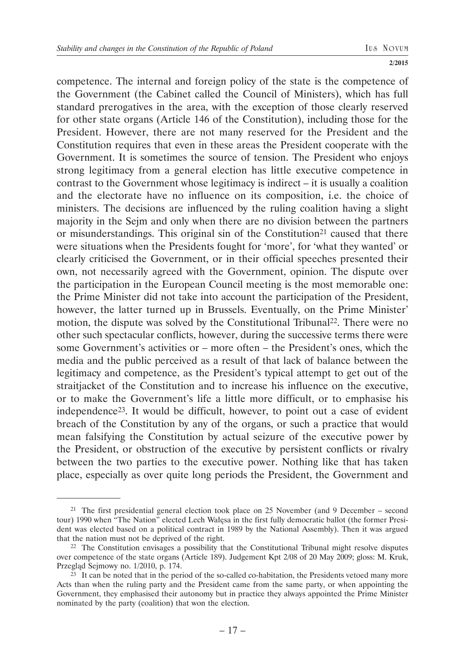competence. The internal and foreign policy of the state is the competence of the Government (the Cabinet called the Council of Ministers), which has full standard prerogatives in the area, with the exception of those clearly reserved for other state organs (Article 146 of the Constitution), including those for the President. However, there are not many reserved for the President and the Constitution requires that even in these areas the President cooperate with the Government. It is sometimes the source of tension. The President who enjoys strong legitimacy from a general election has little executive competence in contrast to the Government whose legitimacy is indirect – it is usually a coalition and the electorate have no influence on its composition, i.e. the choice of ministers. The decisions are influenced by the ruling coalition having a slight majority in the Sejm and only when there are no division between the partners or misunderstandings. This original sin of the Constitution<sup>21</sup> caused that there were situations when the Presidents fought for 'more', for 'what they wanted' or clearly criticised the Government, or in their official speeches presented their own, not necessarily agreed with the Government, opinion. The dispute over the participation in the European Council meeting is the most memorable one: the Prime Minister did not take into account the participation of the President, however, the latter turned up in Brussels. Eventually, on the Prime Minister' motion, the dispute was solved by the Constitutional Tribunal<sup>22</sup>. There were no other such spectacular conflicts, however, during the successive terms there were some Government's activities or – more often – the President's ones, which the media and the public perceived as a result of that lack of balance between the legitimacy and competence, as the President's typical attempt to get out of the straitjacket of the Constitution and to increase his influence on the executive, or to make the Government's life a little more difficult, or to emphasise his independence23. It would be difficult, however, to point out a case of evident breach of the Constitution by any of the organs, or such a practice that would mean falsifying the Constitution by actual seizure of the executive power by the President, or obstruction of the executive by persistent conflicts or rivalry between the two parties to the executive power. Nothing like that has taken place, especially as over quite long periods the President, the Government and

<sup>&</sup>lt;sup>21</sup> The first presidential general election took place on 25 November (and 9 December – second tour) 1990 when "The Nation" elected Lech Wałęsa in the first fully democratic ballot (the former President was elected based on a political contract in 1989 by the National Assembly). Then it was argued that the nation must not be deprived of the right.

 $22$  The Constitution envisages a possibility that the Constitutional Tribunal might resolve disputes over competence of the state organs (Article 189). Judgement Kpt 2/08 of 20 May 2009; gloss: M. Kruk, Przegląd Sejmowy no. 1/2010, p. 174.

 $23$  It can be noted that in the period of the so-called co-habitation, the Presidents vetoed many more Acts than when the ruling party and the President came from the same party, or when appointing the Government, they emphasised their autonomy but in practice they always appointed the Prime Minister nominated by the party (coalition) that won the election.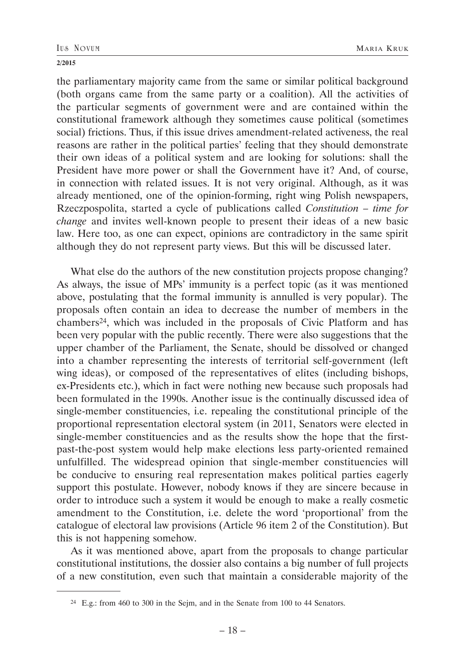the parliamentary majority came from the same or similar political background (both organs came from the same party or a coalition). All the activities of the particular segments of government were and are contained within the constitutional framework although they sometimes cause political (sometimes social) frictions. Thus, if this issue drives amendment-related activeness, the real reasons are rather in the political parties' feeling that they should demonstrate their own ideas of a political system and are looking for solutions: shall the President have more power or shall the Government have it? And, of course, in connection with related issues. It is not very original. Although, as it was already mentioned, one of the opinion-forming, right wing Polish newspapers, Rzeczpospolita, started a cycle of publications called *Constitution – time for change* and invites well-known people to present their ideas of a new basic law. Here too, as one can expect, opinions are contradictory in the same spirit although they do not represent party views. But this will be discussed later.

What else do the authors of the new constitution projects propose changing? As always, the issue of MPs' immunity is a perfect topic (as it was mentioned above, postulating that the formal immunity is annulled is very popular). The proposals often contain an idea to decrease the number of members in the chambers24, which was included in the proposals of Civic Platform and has been very popular with the public recently. There were also suggestions that the upper chamber of the Parliament, the Senate, should be dissolved or changed into a chamber representing the interests of territorial self-government (left wing ideas), or composed of the representatives of elites (including bishops, ex-Presidents etc.), which in fact were nothing new because such proposals had been formulated in the 1990s. Another issue is the continually discussed idea of single-member constituencies, i.e. repealing the constitutional principle of the proportional representation electoral system (in 2011, Senators were elected in single-member constituencies and as the results show the hope that the firstpast-the-post system would help make elections less party-oriented remained unfulfilled. The widespread opinion that single-member constituencies will be conducive to ensuring real representation makes political parties eagerly support this postulate. However, nobody knows if they are sincere because in order to introduce such a system it would be enough to make a really cosmetic amendment to the Constitution, i.e. delete the word 'proportional' from the catalogue of electoral law provisions (Article 96 item 2 of the Constitution). But this is not happening somehow.

As it was mentioned above, apart from the proposals to change particular constitutional institutions, the dossier also contains a big number of full projects of a new constitution, even such that maintain a considerable majority of the

<sup>24</sup> E.g.: from 460 to 300 in the Sejm, and in the Senate from 100 to 44 Senators.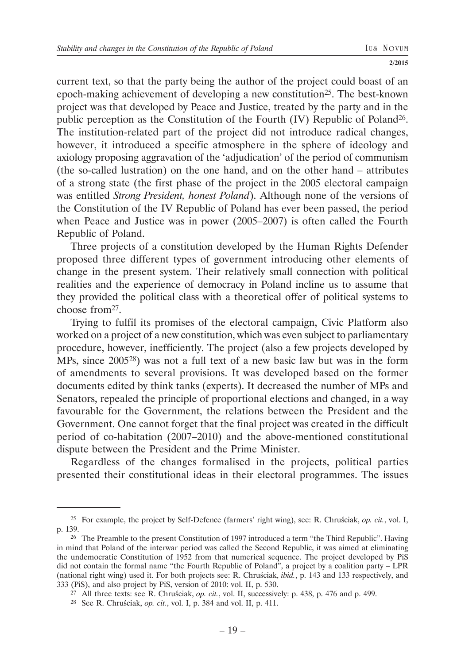current text, so that the party being the author of the project could boast of an epoch-making achievement of developing a new constitution25. The best-known project was that developed by Peace and Justice, treated by the party and in the public perception as the Constitution of the Fourth (IV) Republic of Poland26. The institution-related part of the project did not introduce radical changes, however, it introduced a specific atmosphere in the sphere of ideology and axiology proposing aggravation of the 'adjudication' of the period of communism (the so-called lustration) on the one hand, and on the other hand – attributes of a strong state (the first phase of the project in the 2005 electoral campaign was entitled *Strong President, honest Poland*). Although none of the versions of the Constitution of the IV Republic of Poland has ever been passed, the period when Peace and Justice was in power (2005–2007) is often called the Fourth Republic of Poland.

Three projects of a constitution developed by the Human Rights Defender proposed three different types of government introducing other elements of change in the present system. Their relatively small connection with political realities and the experience of democracy in Poland incline us to assume that they provided the political class with a theoretical offer of political systems to choose from27.

Trying to fulfil its promises of the electoral campaign, Civic Platform also worked on a project of a new constitution, which was even subject to parliamentary procedure, however, inefficiently. The project (also a few projects developed by MPs, since 200528) was not a full text of a new basic law but was in the form of amendments to several provisions. It was developed based on the former documents edited by think tanks (experts). It decreased the number of MPs and Senators, repealed the principle of proportional elections and changed, in a way favourable for the Government, the relations between the President and the Government. One cannot forget that the final project was created in the difficult period of co-habitation (2007–2010) and the above-mentioned constitutional dispute between the President and the Prime Minister.

Regardless of the changes formalised in the projects, political parties presented their constitutional ideas in their electoral programmes. The issues

<sup>25</sup> For example, the project by Self-Defence (farmers' right wing), see: R. Chruściak, *op. cit.*, vol. I, p. 139.<br><sup>26</sup> The Preamble to the present Constitution of 1997 introduced a term "the Third Republic". Having

in mind that Poland of the interwar period was called the Second Republic, it was aimed at eliminating the undemocratic Constitution of 1952 from that numerical sequence. The project developed by PiS did not contain the formal name "the Fourth Republic of Poland", a project by a coalition party – LPR (national right wing) used it. For both projects see: R. Chruściak, *ibid.*, p. 143 and 133 respectively, and 333 (PiS), and also project by PiS, version of 2010: vol. II, p. 530.

<sup>27</sup> All three texts: see R. Chruściak, *op. cit.*, vol. II, successively: p. 438, p. 476 and p. 499.

<sup>28</sup> See R. Chruściak, *op. cit.*, vol. I, p. 384 and vol. II, p. 411.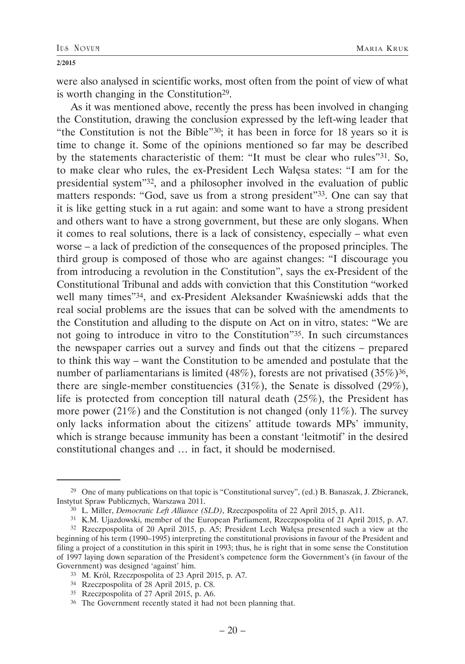were also analysed in scientific works, most often from the point of view of what is worth changing in the Constitution<sup>29</sup>.

As it was mentioned above, recently the press has been involved in changing the Constitution, drawing the conclusion expressed by the left-wing leader that "the Constitution is not the Bible"30; it has been in force for 18 years so it is time to change it. Some of the opinions mentioned so far may be described by the statements characteristic of them: "It must be clear who rules"31. So, to make clear who rules, the ex-President Lech Wałęsa states: "I am for the presidential system"32, and a philosopher involved in the evaluation of public matters responds: "God, save us from a strong president"33. One can say that it is like getting stuck in a rut again: and some want to have a strong president and others want to have a strong government, but these are only slogans. When it comes to real solutions, there is a lack of consistency, especially – what even worse – a lack of prediction of the consequences of the proposed principles. The third group is composed of those who are against changes: "I discourage you from introducing a revolution in the Constitution", says the ex-President of the Constitutional Tribunal and adds with conviction that this Constitution "worked well many times"34, and ex-President Aleksander Kwaśniewski adds that the real social problems are the issues that can be solved with the amendments to the Constitution and alluding to the dispute on Act on in vitro, states: "We are not going to introduce in vitro to the Constitution"35. In such circumstances the newspaper carries out a survey and finds out that the citizens – prepared to think this way – want the Constitution to be amended and postulate that the number of parliamentarians is limited (48%), forests are not privatised (35%)<sup>36</sup>, there are single-member constituencies (31%), the Senate is dissolved (29%), life is protected from conception till natural death (25%), the President has more power (21%) and the Constitution is not changed (only 11%). The survey only lacks information about the citizens' attitude towards MPs' immunity, which is strange because immunity has been a constant 'leitmotif' in the desired constitutional changes and … in fact, it should be modernised.

<sup>29</sup> One of many publications on that topic is "Constitutional survey", (ed.) B. Banaszak, J. Zbieranek, Instytut Spraw Publicznych, Warszawa 2011.

<sup>30</sup> L. Miller, *Democratic Left Alliance (SLD)*, Rzeczpospolita of 22 April 2015, p. A11.

<sup>31</sup> K.M. Ujazdowski, member of the European Parliament, Rzeczpospolita of 21 April 2015, p. A7.

<sup>32</sup> Rzeczpospolita of 20 April 2015, p. A5; President Lech Wałęsa presented such a view at the beginning of his term (1990–1995) interpreting the constitutional provisions in favour of the President and filing a project of a constitution in this spirit in 1993; thus, he is right that in some sense the Constitution of 1997 laying down separation of the President's competence form the Government's (in favour of the Government) was designed 'against' him.<br><sup>33</sup> M. Król, Rzeczpospolita of 23 April 2015, p. A7.

<sup>34</sup> Rzeczpospolita of 28 April 2015, p. C8.

<sup>35</sup> Rzeczpospolita of 27 April 2015, p. A6.

<sup>36</sup> The Government recently stated it had not been planning that.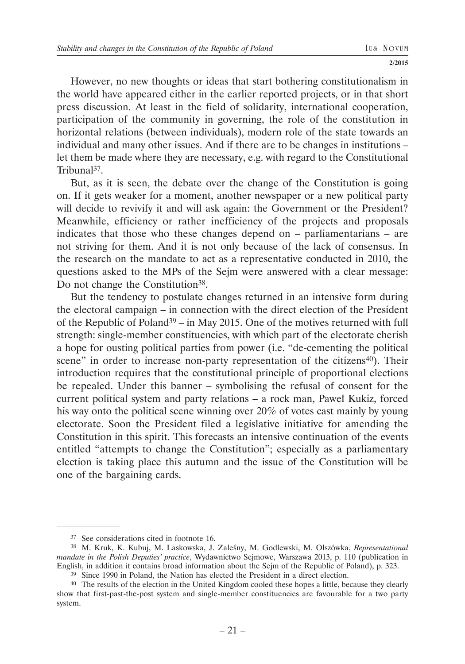However, no new thoughts or ideas that start bothering constitutionalism in the world have appeared either in the earlier reported projects, or in that short press discussion. At least in the field of solidarity, international cooperation, participation of the community in governing, the role of the constitution in horizontal relations (between individuals), modern role of the state towards an individual and many other issues. And if there are to be changes in institutions – let them be made where they are necessary, e.g. with regard to the Constitutional Tribunal37.

But, as it is seen, the debate over the change of the Constitution is going on. If it gets weaker for a moment, another newspaper or a new political party will decide to revivify it and will ask again: the Government or the President? Meanwhile, efficiency or rather inefficiency of the projects and proposals indicates that those who these changes depend on – parliamentarians – are not striving for them. And it is not only because of the lack of consensus. In the research on the mandate to act as a representative conducted in 2010, the questions asked to the MPs of the Sejm were answered with a clear message: Do not change the Constitution<sup>38</sup>.

But the tendency to postulate changes returned in an intensive form during the electoral campaign – in connection with the direct election of the President of the Republic of Poland<sup>39</sup> – in May 2015. One of the motives returned with full strength: single-member constituencies, with which part of the electorate cherish a hope for ousting political parties from power (i.e. "de-cementing the political scene" in order to increase non-party representation of the citizens<sup>40</sup>). Their introduction requires that the constitutional principle of proportional elections be repealed. Under this banner – symbolising the refusal of consent for the current political system and party relations – a rock man, Paweł Kukiz, forced his way onto the political scene winning over 20% of votes cast mainly by young electorate. Soon the President filed a legislative initiative for amending the Constitution in this spirit. This forecasts an intensive continuation of the events entitled "attempts to change the Constitution"; especially as a parliamentary election is taking place this autumn and the issue of the Constitution will be one of the bargaining cards.

<sup>37</sup> See considerations cited in footnote 16.

<sup>38</sup> M. Kruk, K. Kubuj, M. Laskowska, J. Zaleśny, M. Godlewski, M. Olszówka, *Representational mandate in the Polish Deputies' practice*, Wydawnictwo Sejmowe, Warszawa 2013, p. 110 (publication in English, in addition it contains broad information about the Sejm of the Republic of Poland), p. 323.

<sup>39</sup> Since 1990 in Poland, the Nation has elected the President in a direct election.

<sup>40</sup> The results of the election in the United Kingdom cooled these hopes a little, because they clearly show that first-past-the-post system and single-member constituencies are favourable for a two party system.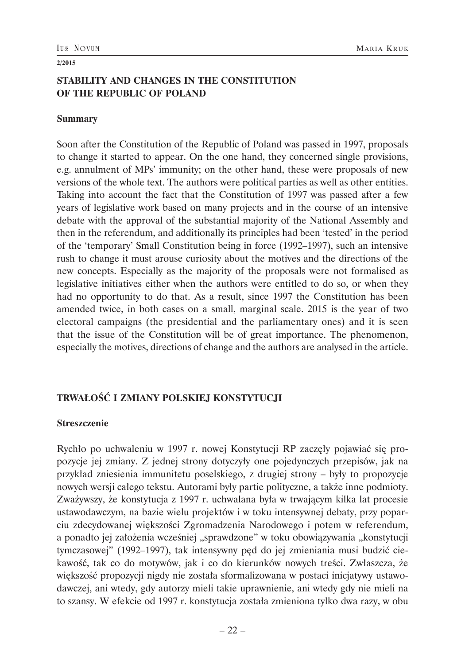## **STABILITY AND CHANGES IN THE CONSTITUTION OF THE REPUBLIC OF POLAND**

#### **Summary**

Soon after the Constitution of the Republic of Poland was passed in 1997, proposals to change it started to appear. On the one hand, they concerned single provisions, e.g. annulment of MPs' immunity; on the other hand, these were proposals of new versions of the whole text. The authors were political parties as well as other entities. Taking into account the fact that the Constitution of 1997 was passed after a few years of legislative work based on many projects and in the course of an intensive debate with the approval of the substantial majority of the National Assembly and then in the referendum, and additionally its principles had been 'tested' in the period of the 'temporary' Small Constitution being in force (1992–1997), such an intensive rush to change it must arouse curiosity about the motives and the directions of the new concepts. Especially as the majority of the proposals were not formalised as legislative initiatives either when the authors were entitled to do so, or when they had no opportunity to do that. As a result, since 1997 the Constitution has been amended twice, in both cases on a small, marginal scale. 2015 is the year of two electoral campaigns (the presidential and the parliamentary ones) and it is seen that the issue of the Constitution will be of great importance. The phenomenon, especially the motives, directions of change and the authors are analysed in the article.

## **TRWAŁOŚĆ I ZMIANY POLSKIEJ KONSTYTUCJI**

### **Streszczenie**

Rychło po uchwaleniu w 1997 r. nowej Konstytucji RP zaczęły pojawiać się propozycje jej zmiany. Z jednej strony dotyczyły one pojedynczych przepisów, jak na przykład zniesienia immunitetu poselskiego, z drugiej strony – były to propozycje nowych wersji całego tekstu. Autorami były partie polityczne, a także inne podmioty. Zważywszy, że konstytucja z 1997 r. uchwalana była w trwającym kilka lat procesie ustawodawczym, na bazie wielu projektów i w toku intensywnej debaty, przy poparciu zdecydowanej większości Zgromadzenia Narodowego i potem w referendum, a ponadto jej założenia wcześniej "sprawdzone" w toku obowiązywania "konstytucji tymczasowej" (1992–1997), tak intensywny pęd do jej zmieniania musi budzić ciekawość, tak co do motywów, jak i co do kierunków nowych treści. Zwłaszcza, że większość propozycji nigdy nie została sformalizowana w postaci inicjatywy ustawodawczej, ani wtedy, gdy autorzy mieli takie uprawnienie, ani wtedy gdy nie mieli na to szansy. W efekcie od 1997 r. konstytucja została zmieniona tylko dwa razy, w obu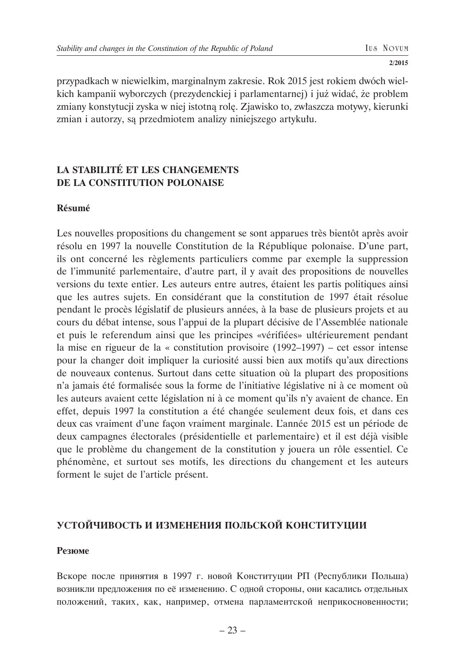przypadkach w niewielkim, marginalnym zakresie. Rok 2015 jest rokiem dwóch wielkich kampanii wyborczych (prezydenckiej i parlamentarnej) i już widać, że problem zmiany konstytucji zyska w niej istotną rolę. Zjawisko to, zwłaszcza motywy, kierunki zmian i autorzy, są przedmiotem analizy niniejszego artykułu.

## **LA STABILITÉ ET LES CHANGEMENTS DE LA CONSTITUTION POLONAISE**

### **Résumé**

Les nouvelles propositions du changement se sont apparues très bientôt après avoir résolu en 1997 la nouvelle Constitution de la République polonaise. D'une part, ils ont concerné les règlements particuliers comme par exemple la suppression de l'immunité parlementaire, d'autre part, il y avait des propositions de nouvelles versions du texte entier. Les auteurs entre autres, étaient les partis politiques ainsi que les autres sujets. En considérant que la constitution de 1997 était résolue pendant le procès législatif de plusieurs années, à la base de plusieurs projets et au cours du débat intense, sous l'appui de la plupart décisive de l'Assemblée nationale et puis le referendum ainsi que les principes «vérifiées» ultérieurement pendant la mise en rigueur de la « constitution provisoire (1992–1997) – cet essor intense pour la changer doit impliquer la curiosité aussi bien aux motifs qu'aux directions de nouveaux contenus. Surtout dans cette situation où la plupart des propositions n'a jamais été formalisée sous la forme de l'initiative législative ni à ce moment où les auteurs avaient cette législation ni à ce moment qu'ils n'y avaient de chance. En effet, depuis 1997 la constitution a été changée seulement deux fois, et dans ces deux cas vraiment d'une façon vraiment marginale. L'année 2015 est un période de deux campagnes électorales (présidentielle et parlementaire) et il est déjà visible que le problème du changement de la constitution y jouera un rôle essentiel. Ce phénomène, et surtout ses motifs, les directions du changement et les auteurs forment le sujet de l'article présent.

# **УСТОЙЧИВОСТЬ И ИЗМЕНЕНИЯ ПОЛЬСКОЙ КОНСТИТУЦИИ**

### **Резюме**

Вскоре после принятия в 1997 г. новой Конституции РП (Республики Польша) возникли предложения по её изменению. С одной стороны, они касались отдельных положений, таких, как, например, отмена парламентской неприкосновенности;